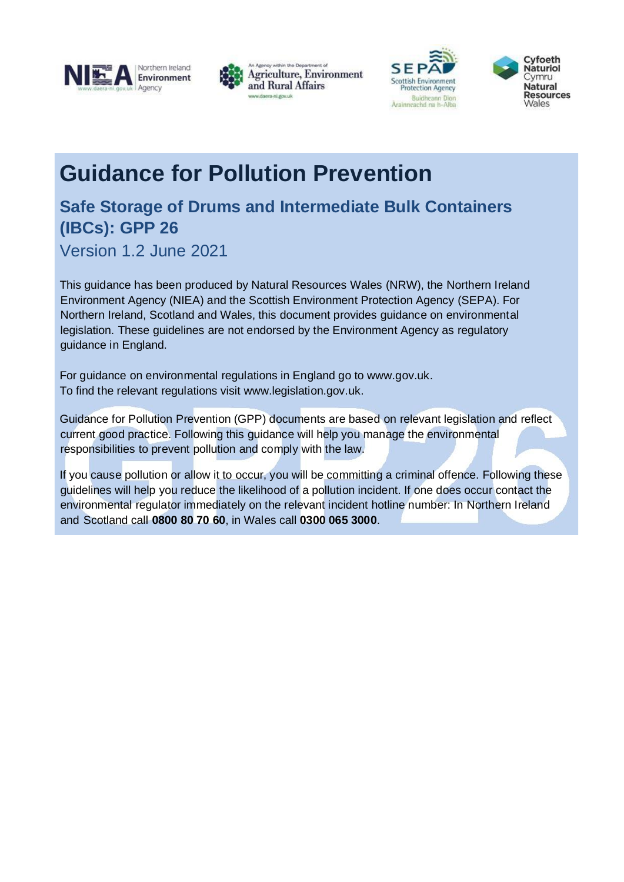







# **Guidance for Pollution Prevention**

## **Safe Storage of Drums and Intermediate Bulk Containers (IBCs): GPP 26**

Version 1.2 June 2021

This guidance has been produced by Natural Resources Wales (NRW), the Northern Ireland Environment Agency (NIEA) and the Scottish Environment Protection Agency (SEPA). For Northern Ireland, Scotland and Wales, this document provides guidance on environmental legislation. These guidelines are not endorsed by the Environment Agency as regulatory guidance in England.

For guidance on environmental regulations in England go to www.gov.uk. To find the relevant regulations visit www.legislation.gov.uk.

Guidance for Pollution Prevention (GPP) documents are based on relevant legislation and reflect current good practice. Following this guidance will help you manage the environmental responsibilities to prevent pollution and comply with the law.

If you cause pollution or allow it to occur, you will be committing a criminal offence. Following these guidelines will help you reduce the likelihood of a pollution incident. If one does occur contact the environmental regulator immediately on the relevant incident hotline number: In Northern Ireland and Scotland call **0800 80 70 60**, in Wales call **0300 065 3000**.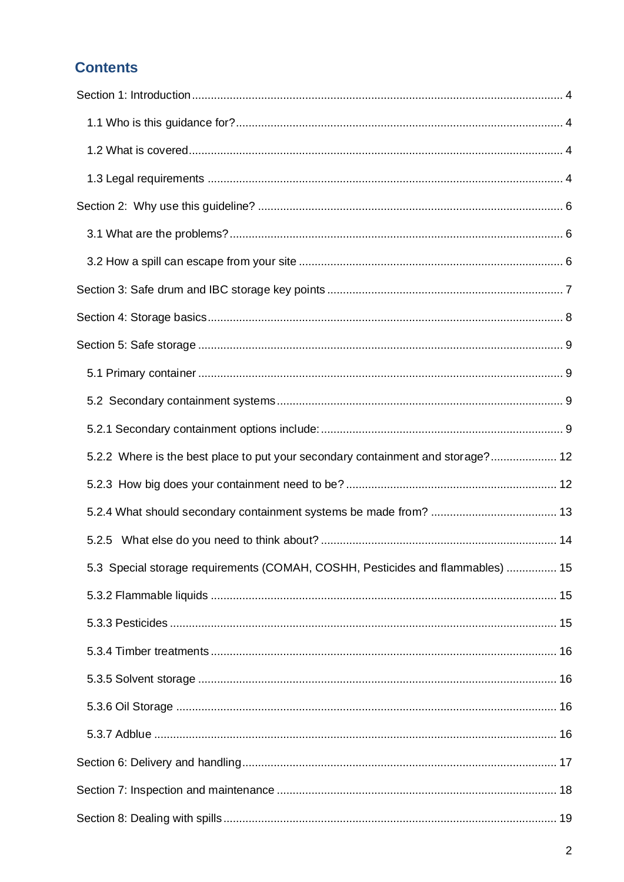## **Contents**

| 5.2.2 Where is the best place to put your secondary containment and storage? 12 |  |
|---------------------------------------------------------------------------------|--|
|                                                                                 |  |
|                                                                                 |  |
|                                                                                 |  |
| 5.3 Special storage requirements (COMAH, COSHH, Pesticides and flammables)  15  |  |
|                                                                                 |  |
|                                                                                 |  |
|                                                                                 |  |
|                                                                                 |  |
|                                                                                 |  |
|                                                                                 |  |
|                                                                                 |  |
|                                                                                 |  |
|                                                                                 |  |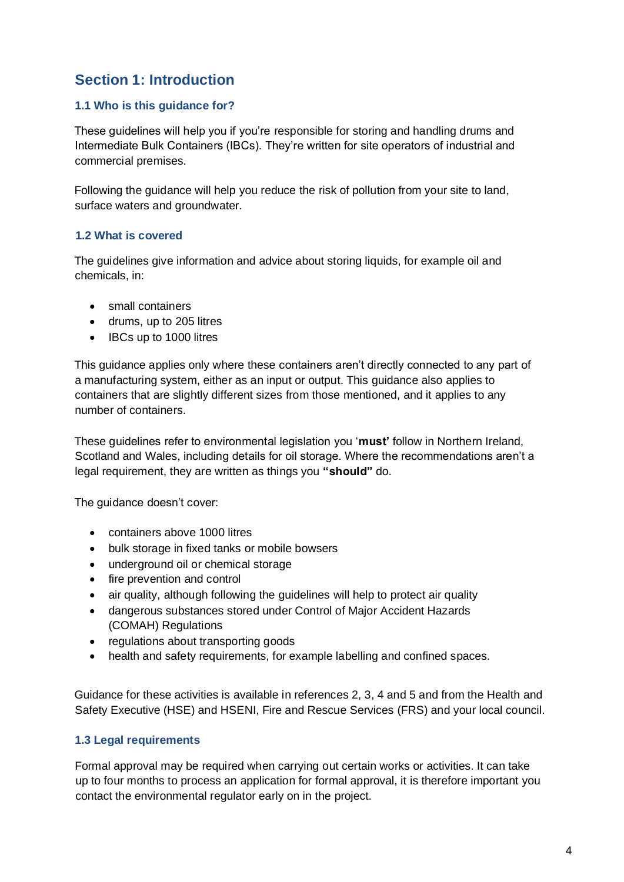## **Section 1: Introduction**

#### **1.1 Who is this guidance for?**

These guidelines will help you if you're responsible for storing and handling drums and Intermediate Bulk Containers (IBCs). They're written for site operators of industrial and commercial premises.

Following the guidance will help you reduce the risk of pollution from your site to land, surface waters and groundwater.

#### **1.2 What is covered**

The guidelines give information and advice about storing liquids, for example oil and chemicals, in:

- small containers
- drums, up to 205 litres
- **IBCs up to 1000 litres**

This guidance applies only where these containers aren't directly connected to any part of a manufacturing system, either as an input or output. This guidance also applies to containers that are slightly different sizes from those mentioned, and it applies to any number of containers.

These guidelines refer to environmental legislation you '**must'** follow in Northern Ireland, Scotland and Wales, including details for oil storage. Where the recommendations aren't a legal requirement, they are written as things you **"should"** do.

The quidance doesn't cover:

- containers above 1000 litres
- bulk storage in fixed tanks or mobile bowsers
- underground oil or chemical storage
- fire prevention and control
- air quality, although following the guidelines will help to protect air quality
- dangerous substances stored under Control of Major Accident Hazards (COMAH) Regulations
- regulations about transporting goods
- health and safety requirements, for example labelling and confined spaces.

Guidance for these activities is available in references 2, 3, 4 and 5 and from the Health and Safety Executive (HSE) and HSENI, Fire and Rescue Services (FRS) and your local council.

#### **1.3 Legal requirements**

Formal approval may be required when carrying out certain works or activities. It can take up to four months to process an application for formal approval, it is therefore important you contact the environmental regulator early on in the project.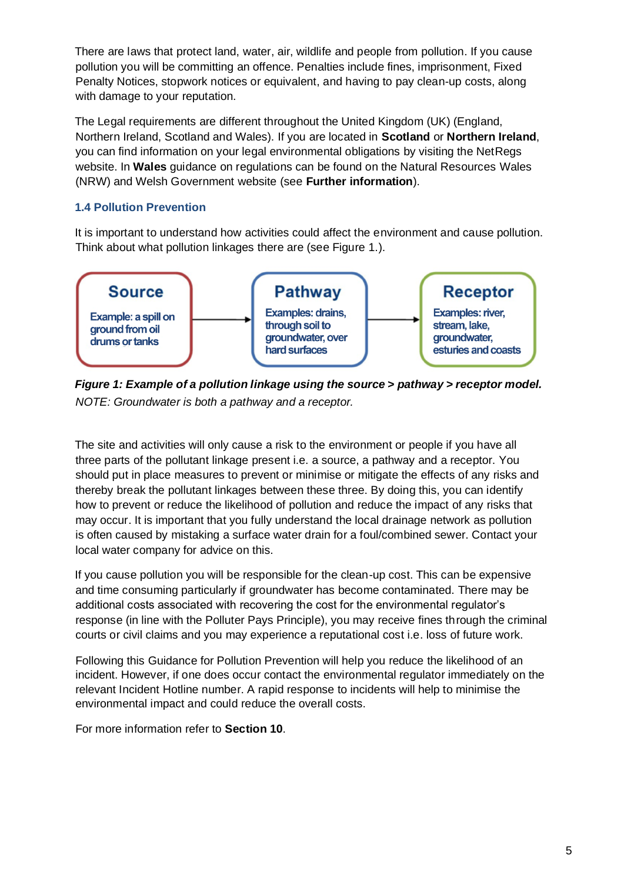There are laws that protect land, water, air, wildlife and people from pollution. If you cause pollution you will be committing an offence. Penalties include fines, imprisonment, Fixed Penalty Notices, stopwork notices or equivalent, and having to pay clean-up costs, along with damage to your reputation.

The Legal requirements are different throughout the United Kingdom (UK) (England, Northern Ireland, Scotland and Wales). If you are located in **Scotland** or **Northern Ireland**, you can find information on your legal environmental obligations by visiting the NetRegs website. In **Wales** guidance on regulations can be found on the Natural Resources Wales (NRW) and Welsh Government website (see **Further information**).

#### **1.4 Pollution Prevention**

It is important to understand how activities could affect the environment and cause pollution. Think about what pollution linkages there are (see Figure 1.).



*Figure 1: Example of a pollution linkage using the source > pathway > receptor model. NOTE: Groundwater is both a pathway and a receptor.* 

The site and activities will only cause a risk to the environment or people if you have all three parts of the pollutant linkage present i.e. a source, a pathway and a receptor. You should put in place measures to prevent or minimise or mitigate the effects of any risks and thereby break the pollutant linkages between these three. By doing this, you can identify how to prevent or reduce the likelihood of pollution and reduce the impact of any risks that may occur. It is important that you fully understand the local drainage network as pollution is often caused by mistaking a surface water drain for a foul/combined sewer. Contact your local water company for advice on this.

If you cause pollution you will be responsible for the clean-up cost. This can be expensive and time consuming particularly if groundwater has become contaminated. There may be additional costs associated with recovering the cost for the environmental regulator's response (in line with the Polluter Pays Principle), you may receive fines through the criminal courts or civil claims and you may experience a reputational cost i.e. loss of future work.

Following this Guidance for Pollution Prevention will help you reduce the likelihood of an incident. However, if one does occur contact the environmental regulator immediately on the relevant Incident Hotline number. A rapid response to incidents will help to minimise the environmental impact and could reduce the overall costs.

For more information refer to **Section 10**.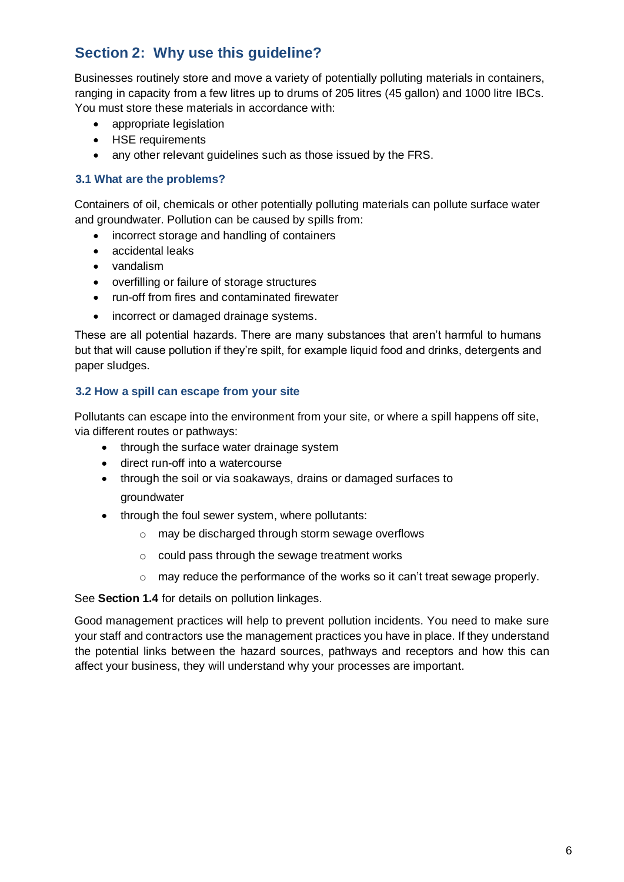## **Section 2: Why use this guideline?**

Businesses routinely store and move a variety of potentially polluting materials in containers, ranging in capacity from a few litres up to drums of 205 litres (45 gallon) and 1000 litre IBCs. You must store these materials in accordance with:

- appropriate legislation
- HSE requirements
- any other relevant guidelines such as those issued by the FRS.

#### **3.1 What are the problems?**

Containers of oil, chemicals or other potentially polluting materials can pollute surface water and groundwater. Pollution can be caused by spills from:

- incorrect storage and handling of containers
- accidental leaks
- vandalism
- overfilling or failure of storage structures
- run-off from fires and contaminated firewater
- incorrect or damaged drainage systems.

These are all potential hazards. There are many substances that aren't harmful to humans but that will cause pollution if they're spilt, for example liquid food and drinks, detergents and paper sludges.

#### **3.2 How a spill can escape from your site**

Pollutants can escape into the environment from your site, or where a spill happens off site, via different routes or pathways:

- through the surface water drainage system
- direct run-off into a watercourse
- through the soil or via soakaways, drains or damaged surfaces to groundwater
- through the foul sewer system, where pollutants:
	- o may be discharged through storm sewage overflows
	- o could pass through the sewage treatment works
	- $\circ$  may reduce the performance of the works so it can't treat sewage properly.

See **Section 1.4** for details on pollution linkages.

Good management practices will help to prevent pollution incidents. You need to make sure your staff and contractors use the management practices you have in place. If they understand the potential links between the hazard sources, pathways and receptors and how this can affect your business, they will understand why your processes are important.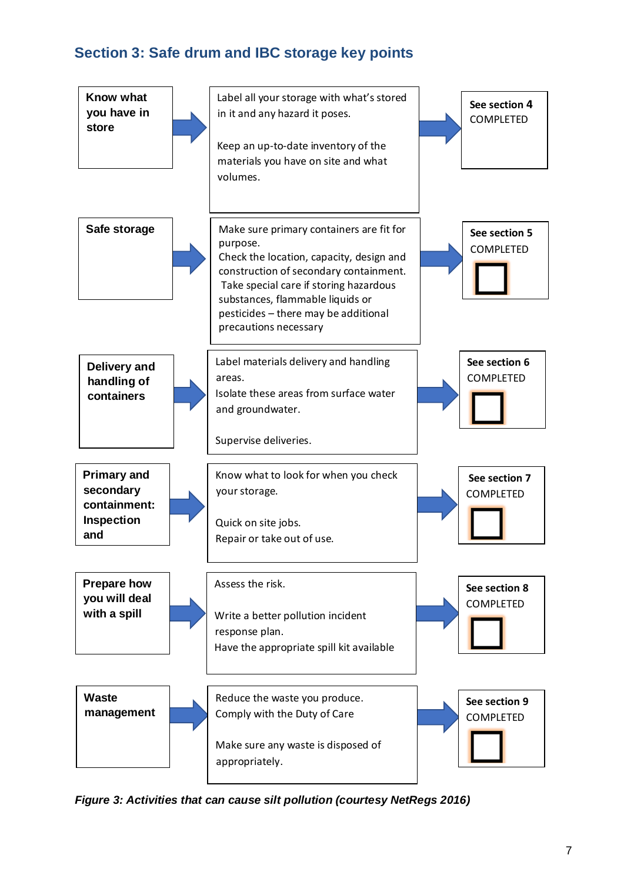## **Section 3: Safe drum and IBC storage key points**



*Figure 3: Activities that can cause silt pollution (courtesy NetRegs 2016)*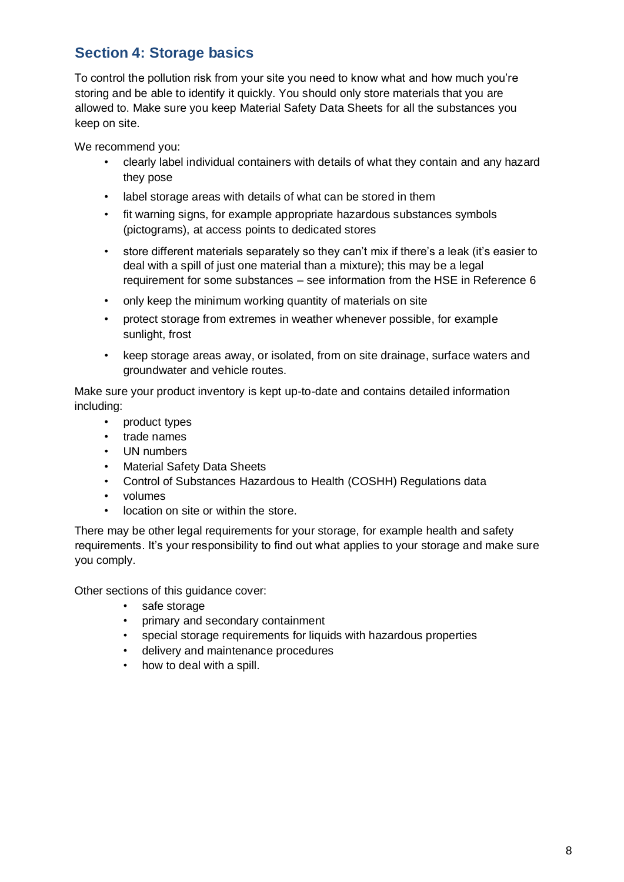## **Section 4: Storage basics**

To control the pollution risk from your site you need to know what and how much you're storing and be able to identify it quickly. You should only store materials that you are allowed to. Make sure you keep Material Safety Data Sheets for all the substances you keep on site.

We recommend you:

- clearly label individual containers with details of what they contain and any hazard they pose
- label storage areas with details of what can be stored in them
- fit warning signs, for example appropriate hazardous substances symbols (pictograms), at access points to dedicated stores
- store different materials separately so they can't mix if there's a leak (it's easier to deal with a spill of just one material than a mixture); this may be a legal requirement for some substances – see information from the HSE in Reference 6
- only keep the minimum working quantity of materials on site
- protect storage from extremes in weather whenever possible, for example sunlight, frost
- keep storage areas away, or isolated, from on site drainage, surface waters and groundwater and vehicle routes.

Make sure your product inventory is kept up-to-date and contains detailed information including:

- product types
- trade names
- UN numbers
- Material Safety Data Sheets
- Control of Substances Hazardous to Health (COSHH) Regulations data
- volumes
- location on site or within the store.

There may be other legal requirements for your storage, for example health and safety requirements. It's your responsibility to find out what applies to your storage and make sure you comply.

Other sections of this guidance cover:

- safe storage
- primary and secondary containment
- special storage requirements for liquids with hazardous properties
- delivery and maintenance procedures
- how to deal with a spill.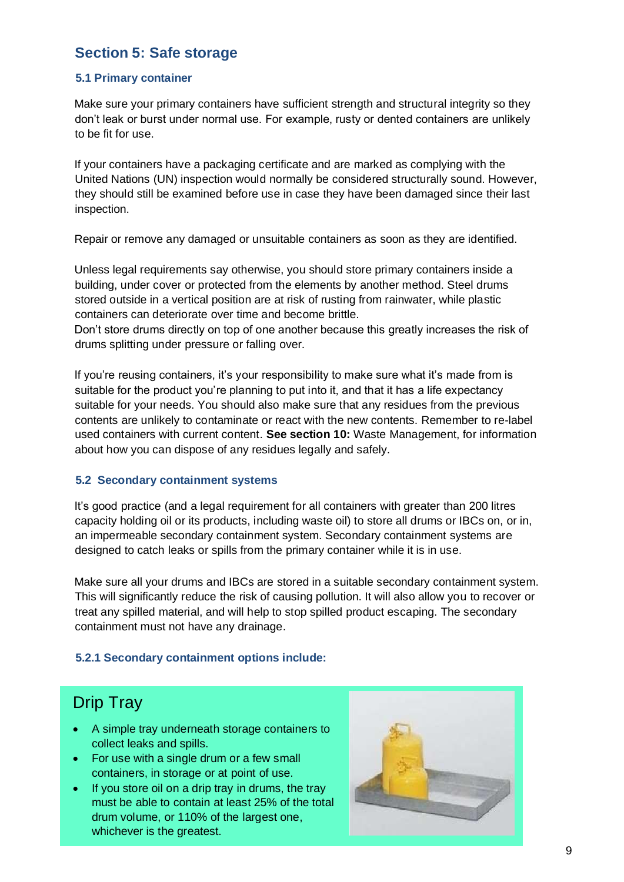### **Section 5: Safe storage**

#### **5.1 Primary container**

Make sure your primary containers have sufficient strength and structural integrity so they don't leak or burst under normal use. For example, rusty or dented containers are unlikely to be fit for use.

If your containers have a packaging certificate and are marked as complying with the United Nations (UN) inspection would normally be considered structurally sound. However, they should still be examined before use in case they have been damaged since their last inspection.

Repair or remove any damaged or unsuitable containers as soon as they are identified.

Unless legal requirements say otherwise, you should store primary containers inside a building, under cover or protected from the elements by another method. Steel drums stored outside in a vertical position are at risk of rusting from rainwater, while plastic containers can deteriorate over time and become brittle.

Don't store drums directly on top of one another because this greatly increases the risk of drums splitting under pressure or falling over.

If you're reusing containers, it's your responsibility to make sure what it's made from is suitable for the product you're planning to put into it, and that it has a life expectancy suitable for your needs. You should also make sure that any residues from the previous contents are unlikely to contaminate or react with the new contents. Remember to re-label used containers with current content. **See section 10:** Waste Management, for information about how you can dispose of any residues legally and safely.

#### **5.2 Secondary containment systems**

It's good practice (and a legal requirement for all containers with greater than 200 litres capacity holding oil or its products, including waste oil) to store all drums or IBCs on, or in, an impermeable secondary containment system. Secondary containment systems are designed to catch leaks or spills from the primary container while it is in use.

Make sure all your drums and IBCs are stored in a suitable secondary containment system. This will significantly reduce the risk of causing pollution. It will also allow you to recover or treat any spilled material, and will help to stop spilled product escaping. The secondary containment must not have any drainage.

#### **5.2.1 Secondary containment options include:**

## Drip Tray

- A simple tray underneath storage containers to collect leaks and spills.
- For use with a single drum or a few small containers, in storage or at point of use.
- If you store oil on a drip tray in drums, the tray must be able to contain at least 25% of the total drum volume, or 110% of the largest one, whichever is the greatest.

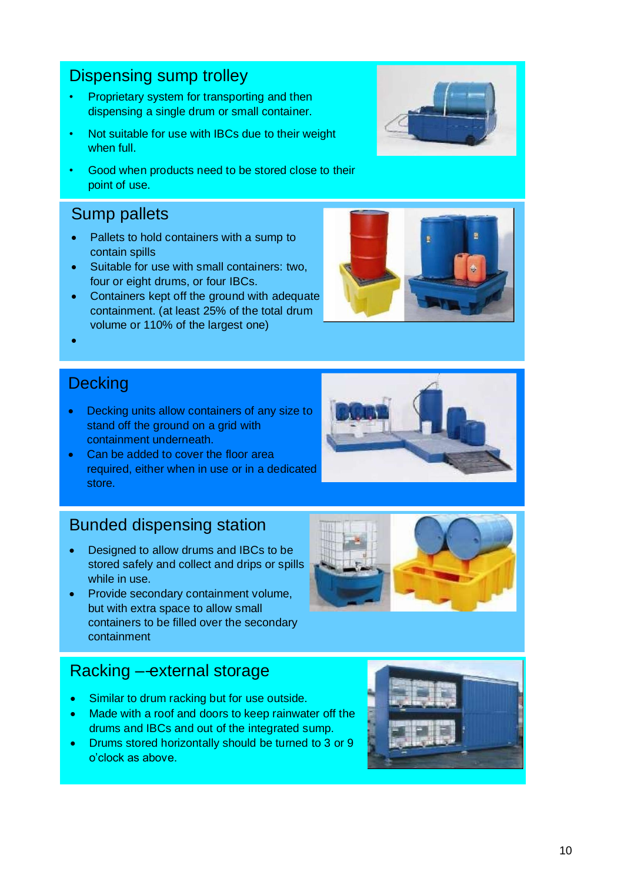## Dispensing sump trolley

- Proprietary system for transporting and then dispensing a single drum or small container.
- Not suitable for use with IBCs due to their weight when full.
- Good when products need to be stored close to their point of use.

## Sump pallets

- Pallets to hold containers with a sump to contain spills
- Suitable for use with small containers: two, four or eight drums, or four IBCs.
- Containers kept off the ground with adequate containment. (at least 25% of the total drum volume or 110% of the largest one)
- **Decking**

•

- Decking units allow containers of any size to stand off the ground on a grid with containment underneath.
- Can be added to cover the floor area required, either when in use or in a dedicated store.

## Bunded dispensing station

- Designed to allow drums and IBCs to be stored safely and collect and drips or spills while in use.
- Provide secondary containment volume, but with extra space to allow small containers to be filled over the secondary containment

## Racking ––external storage

- Similar to drum racking but for use outside.
- Made with a roof and doors to keep rainwater off the drums and IBCs and out of the integrated sump.
- Drums stored horizontally should be turned to 3 or 9 o'clock as above.







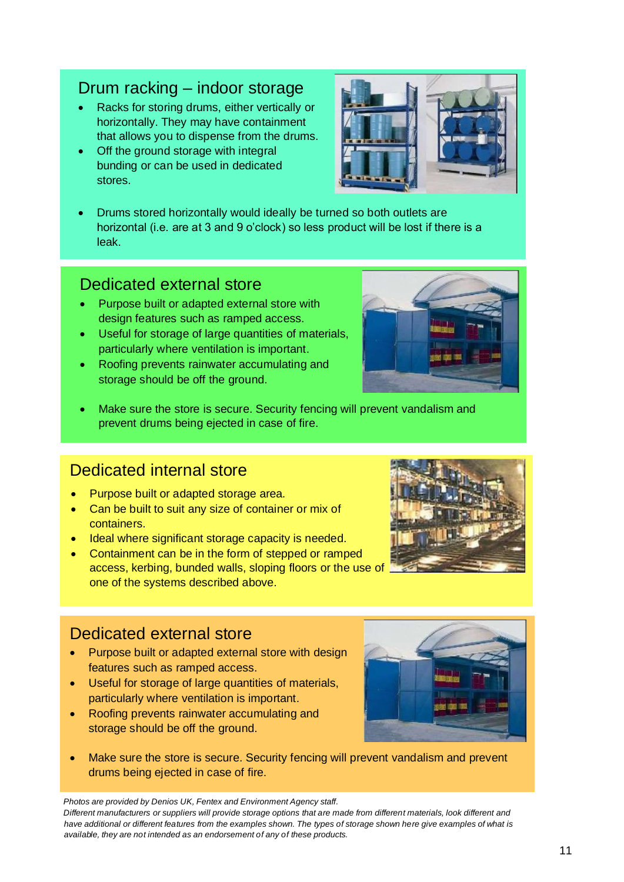## Drum racking – indoor storage

- Racks for storing drums, either vertically or horizontally. They may have containment that allows you to dispense from the drums.
- Off the ground storage with integral bunding or can be used in dedicated stores.
- Drums stored horizontally would ideally be turned so both outlets are horizontal (i.e. are at 3 and 9 o'clock) so less product will be lost if there is a leak.

### Dedicated external store

- Purpose built or adapted external store with design features such as ramped access.
- Useful for storage of large quantities of materials, particularly where ventilation is important.
- Roofing prevents rainwater accumulating and storage should be off the ground.
- Make sure the store is secure. Security fencing will prevent vandalism and prevent drums being ejected in case of fire.

## Dedicated internal store

- Purpose built or adapted storage area.
- Can be built to suit any size of container or mix of containers.
- Ideal where significant storage capacity is needed.
- Containment can be in the form of stepped or ramped access, kerbing, bunded walls, sloping floors or the use of one of the systems described above.

## Dedicated external store

- Purpose built or adapted external store with design features such as ramped access.
- Useful for storage of large quantities of materials, particularly where ventilation is important.
- Roofing prevents rainwater accumulating and storage should be off the ground.
- Make sure the store is secure. Security fencing will prevent vandalism and prevent drums being ejected in case of fire.

*Photos are provided by Denios UK, Fentex and Environment Agency staff.* 

*Different manufacturers or suppliers will provide storage options that are made from different materials, look different and have additional or different features from the examples shown. The types of storage shown here give examples of what is available, they are not intended as an endorsement of any of these products.* 







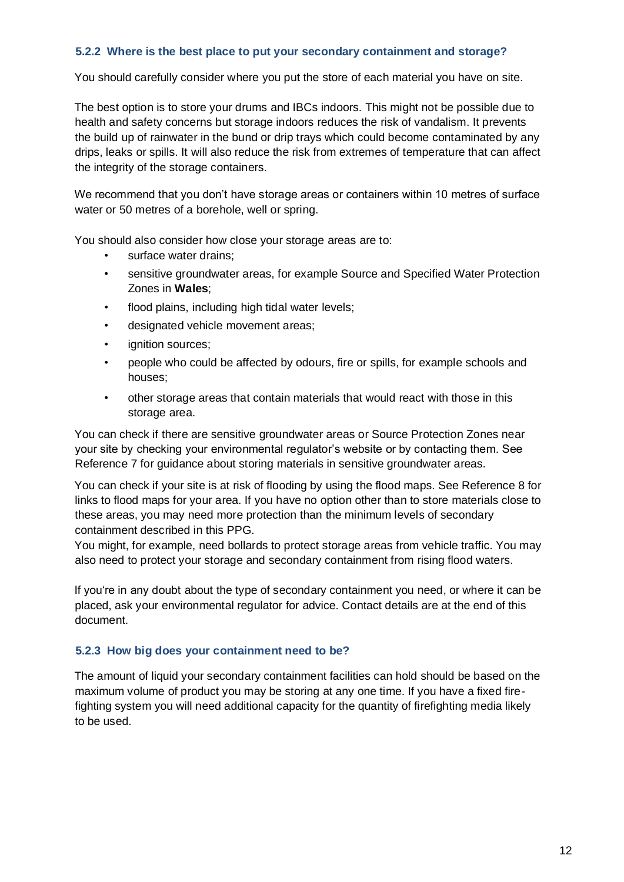#### **5.2.2 Where is the best place to put your secondary containment and storage?**

You should carefully consider where you put the store of each material you have on site.

The best option is to store your drums and IBCs indoors. This might not be possible due to health and safety concerns but storage indoors reduces the risk of vandalism. It prevents the build up of rainwater in the bund or drip trays which could become contaminated by any drips, leaks or spills. It will also reduce the risk from extremes of temperature that can affect the integrity of the storage containers.

We recommend that you don't have storage areas or containers within 10 metres of surface water or 50 metres of a borehole, well or spring.

You should also consider how close your storage areas are to:

- surface water drains:
- sensitive groundwater areas, for example Source and Specified Water Protection Zones in **Wales**;
- flood plains, including high tidal water levels:
- designated vehicle movement areas;
- ignition sources;
- people who could be affected by odours, fire or spills, for example schools and houses;
- other storage areas that contain materials that would react with those in this storage area.

You can check if there are sensitive groundwater areas or Source Protection Zones near your site by checking your environmental regulator's website or by contacting them. See Reference 7 for guidance about storing materials in sensitive groundwater areas.

You can check if your site is at risk of flooding by using the flood maps. See Reference 8 for links to flood maps for your area. If you have no option other than to store materials close to these areas, you may need more protection than the minimum levels of secondary containment described in this PPG.

You might, for example, need bollards to protect storage areas from vehicle traffic. You may also need to protect your storage and secondary containment from rising flood waters.

If you're in any doubt about the type of secondary containment you need, or where it can be placed, ask your environmental regulator for advice. Contact details are at the end of this document.

#### **5.2.3 How big does your containment need to be?**

The amount of liquid your secondary containment facilities can hold should be based on the maximum volume of product you may be storing at any one time. If you have a fixed firefighting system you will need additional capacity for the quantity of firefighting media likely to be used.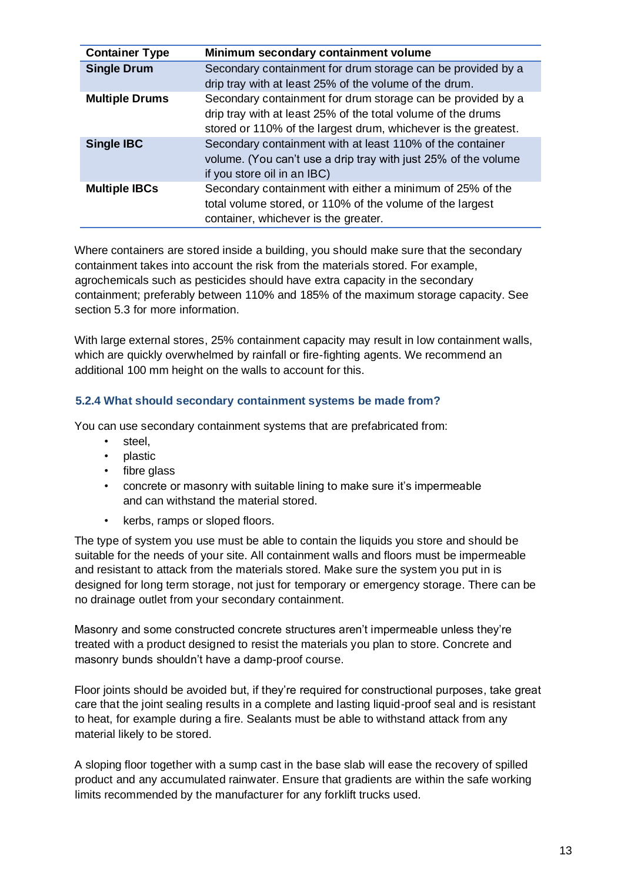| <b>Container Type</b> | Minimum secondary containment volume                                                                                                                                                          |
|-----------------------|-----------------------------------------------------------------------------------------------------------------------------------------------------------------------------------------------|
| <b>Single Drum</b>    | Secondary containment for drum storage can be provided by a<br>drip tray with at least 25% of the volume of the drum.                                                                         |
| <b>Multiple Drums</b> | Secondary containment for drum storage can be provided by a<br>drip tray with at least 25% of the total volume of the drums<br>stored or 110% of the largest drum, whichever is the greatest. |
| <b>Single IBC</b>     | Secondary containment with at least 110% of the container<br>volume. (You can't use a drip tray with just 25% of the volume<br>if you store oil in an IBC)                                    |
| <b>Multiple IBCs</b>  | Secondary containment with either a minimum of 25% of the<br>total volume stored, or 110% of the volume of the largest<br>container, whichever is the greater.                                |

Where containers are stored inside a building, you should make sure that the secondary containment takes into account the risk from the materials stored. For example, agrochemicals such as pesticides should have extra capacity in the secondary containment; preferably between 110% and 185% of the maximum storage capacity. See section 5.3 for more information.

With large external stores, 25% containment capacity may result in low containment walls. which are quickly overwhelmed by rainfall or fire-fighting agents. We recommend an additional 100 mm height on the walls to account for this.

#### **5.2.4 What should secondary containment systems be made from?**

You can use secondary containment systems that are prefabricated from:

- steel.
- plastic
- fibre glass
- concrete or masonry with suitable lining to make sure it's impermeable and can withstand the material stored.
- kerbs, ramps or sloped floors.

The type of system you use must be able to contain the liquids you store and should be suitable for the needs of your site. All containment walls and floors must be impermeable and resistant to attack from the materials stored. Make sure the system you put in is designed for long term storage, not just for temporary or emergency storage. There can be no drainage outlet from your secondary containment.

Masonry and some constructed concrete structures aren't impermeable unless they're treated with a product designed to resist the materials you plan to store. Concrete and masonry bunds shouldn't have a damp-proof course.

Floor joints should be avoided but, if they're required for constructional purposes, take great care that the joint sealing results in a complete and lasting liquid-proof seal and is resistant to heat, for example during a fire. Sealants must be able to withstand attack from any material likely to be stored.

A sloping floor together with a sump cast in the base slab will ease the recovery of spilled product and any accumulated rainwater. Ensure that gradients are within the safe working limits recommended by the manufacturer for any forklift trucks used.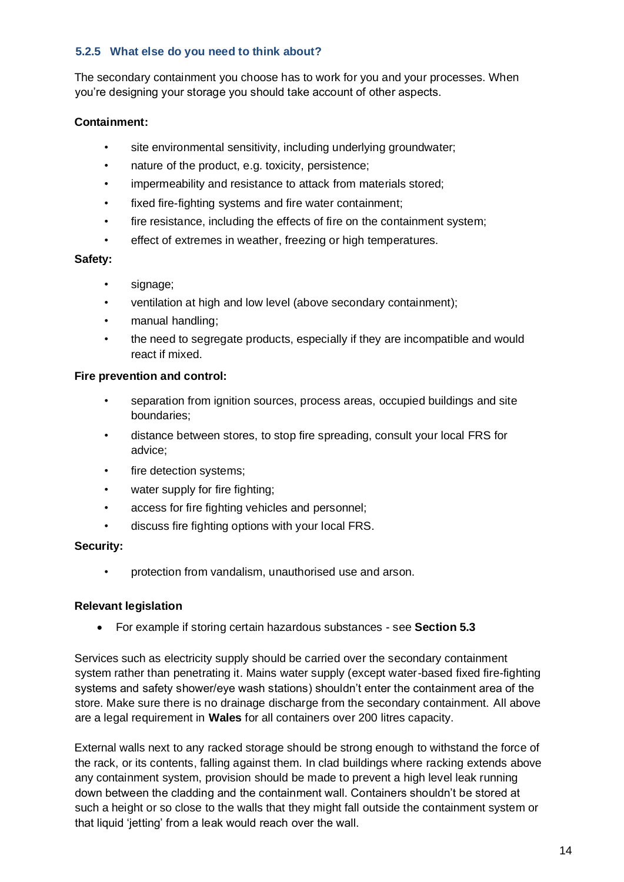#### **5.2.5 What else do you need to think about?**

The secondary containment you choose has to work for you and your processes. When you're designing your storage you should take account of other aspects.

#### **Containment:**

- site environmental sensitivity, including underlying groundwater;
- nature of the product, e.g. toxicity, persistence;
- impermeability and resistance to attack from materials stored;
- fixed fire-fighting systems and fire water containment;
- fire resistance, including the effects of fire on the containment system;
- effect of extremes in weather, freezing or high temperatures.

#### **Safety:**

- signage;
- ventilation at high and low level (above secondary containment);
- manual handling;
- the need to segregate products, especially if they are incompatible and would react if mixed.

#### **Fire prevention and control:**

- separation from ignition sources, process areas, occupied buildings and site boundaries;
- distance between stores, to stop fire spreading, consult your local FRS for advice;
- fire detection systems;
- water supply for fire fighting;
- access for fire fighting vehicles and personnel;
- discuss fire fighting options with your local FRS.

#### **Security:**

• protection from vandalism, unauthorised use and arson.

#### **Relevant legislation**

• For example if storing certain hazardous substances - see **Section 5.3**

Services such as electricity supply should be carried over the secondary containment system rather than penetrating it. Mains water supply (except water-based fixed fire-fighting systems and safety shower/eye wash stations) shouldn't enter the containment area of the store. Make sure there is no drainage discharge from the secondary containment. All above are a legal requirement in **Wales** for all containers over 200 litres capacity.

External walls next to any racked storage should be strong enough to withstand the force of the rack, or its contents, falling against them. In clad buildings where racking extends above any containment system, provision should be made to prevent a high level leak running down between the cladding and the containment wall. Containers shouldn't be stored at such a height or so close to the walls that they might fall outside the containment system or that liquid 'jetting' from a leak would reach over the wall.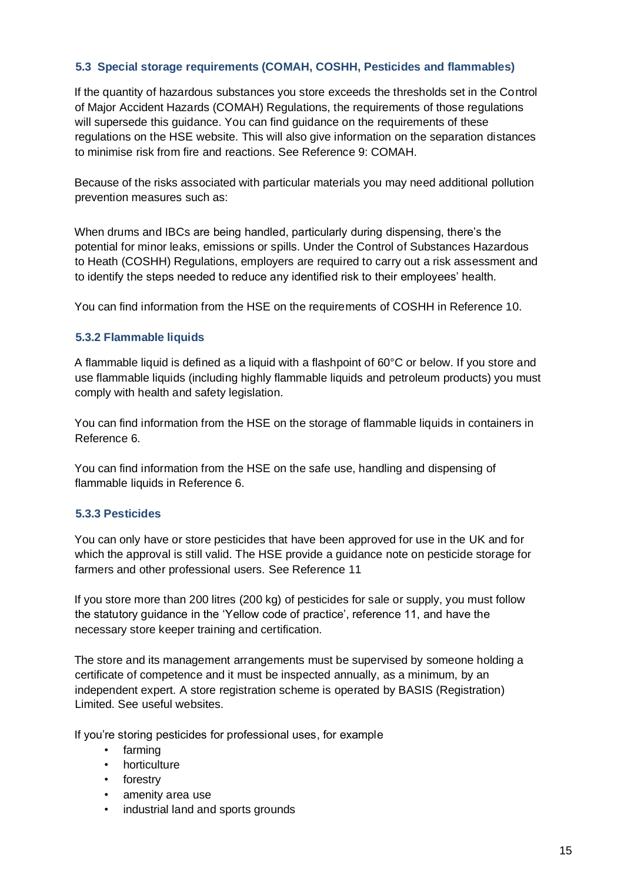#### **5.3 Special storage requirements (COMAH, COSHH, Pesticides and flammables)**

If the quantity of hazardous substances you store exceeds the thresholds set in the Control of Major Accident Hazards (COMAH) Regulations, the requirements of those regulations will supersede this guidance. You can find guidance on the requirements of these regulations on the HSE website. This will also give information on the separation distances to minimise risk from fire and reactions. See Reference 9: COMAH.

Because of the risks associated with particular materials you may need additional pollution prevention measures such as:

When drums and IBCs are being handled, particularly during dispensing, there's the potential for minor leaks, emissions or spills. Under the Control of Substances Hazardous to Heath (COSHH) Regulations, employers are required to carry out a risk assessment and to identify the steps needed to reduce any identified risk to their employees' health.

You can find information from the HSE on the requirements of COSHH in Reference 10.

#### **5.3.2 Flammable liquids**

A flammable liquid is defined as a liquid with a flashpoint of 60°C or below. If you store and use flammable liquids (including highly flammable liquids and petroleum products) you must comply with health and safety legislation.

You can find information from the HSE on the storage of flammable liquids in containers in Reference 6.

You can find information from the HSE on the safe use, handling and dispensing of flammable liquids in Reference 6.

#### **5.3.3 Pesticides**

You can only have or store pesticides that have been approved for use in the UK and for which the approval is still valid. The HSE provide a guidance note on pesticide storage for farmers and other professional users. See Reference 11

If you store more than 200 litres (200 kg) of pesticides for sale or supply, you must follow the statutory guidance in the 'Yellow code of practice', reference 11, and have the necessary store keeper training and certification.

The store and its management arrangements must be supervised by someone holding a certificate of competence and it must be inspected annually, as a minimum, by an independent expert. A store registration scheme is operated by BASIS (Registration) Limited. See useful websites.

If you're storing pesticides for professional uses, for example

- farming
- horticulture
- forestry
- amenity area use
- industrial land and sports grounds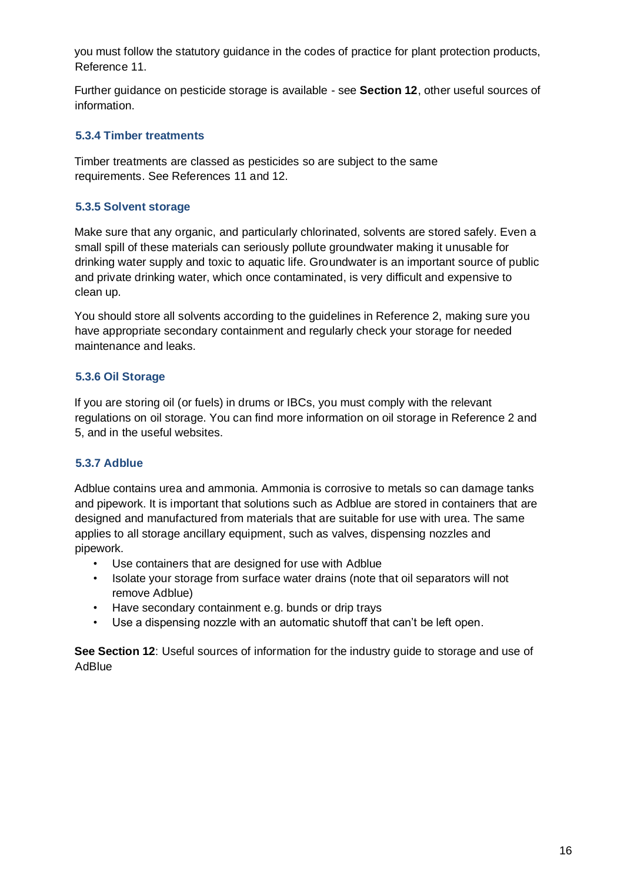you must follow the statutory guidance in the codes of practice for plant protection products, Reference 11.

Further guidance on pesticide storage is available - see **Section 12**, other useful sources of information.

#### **5.3.4 Timber treatments**

Timber treatments are classed as pesticides so are subject to the same requirements. See References 11 and 12.

#### **5.3.5 Solvent storage**

Make sure that any organic, and particularly chlorinated, solvents are stored safely. Even a small spill of these materials can seriously pollute groundwater making it unusable for drinking water supply and toxic to aquatic life. Groundwater is an important source of public and private drinking water, which once contaminated, is very difficult and expensive to clean up.

You should store all solvents according to the guidelines in Reference 2, making sure you have appropriate secondary containment and regularly check your storage for needed maintenance and leaks.

#### **5.3.6 Oil Storage**

If you are storing oil (or fuels) in drums or IBCs, you must comply with the relevant regulations on oil storage. You can find more information on oil storage in Reference 2 and 5, and in the useful websites.

#### **5.3.7 Adblue**

Adblue contains urea and ammonia. Ammonia is corrosive to metals so can damage tanks and pipework. It is important that solutions such as Adblue are stored in containers that are designed and manufactured from materials that are suitable for use with urea. The same applies to all storage ancillary equipment, such as valves, dispensing nozzles and pipework.

- Use containers that are designed for use with Adblue
- Isolate your storage from surface water drains (note that oil separators will not remove Adblue)
- Have secondary containment e.g. bunds or drip trays
- Use a dispensing nozzle with an automatic shutoff that can't be left open.

**See Section 12**: Useful sources of information for the industry guide to storage and use of AdBlue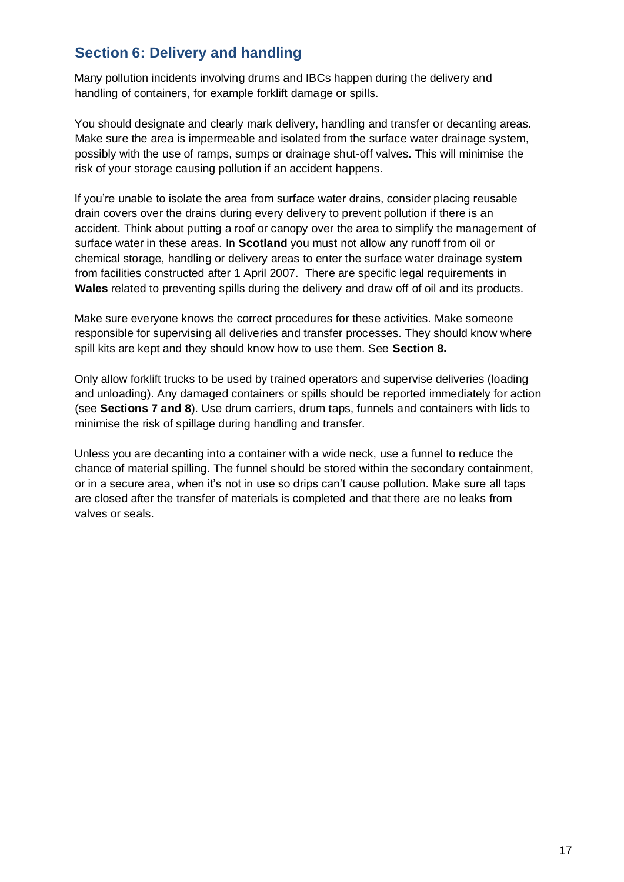## **Section 6: Delivery and handling**

Many pollution incidents involving drums and IBCs happen during the delivery and handling of containers, for example forklift damage or spills.

You should designate and clearly mark delivery, handling and transfer or decanting areas. Make sure the area is impermeable and isolated from the surface water drainage system, possibly with the use of ramps, sumps or drainage shut-off valves. This will minimise the risk of your storage causing pollution if an accident happens.

If you're unable to isolate the area from surface water drains, consider placing reusable drain covers over the drains during every delivery to prevent pollution if there is an accident. Think about putting a roof or canopy over the area to simplify the management of surface water in these areas. In **Scotland** you must not allow any runoff from oil or chemical storage, handling or delivery areas to enter the surface water drainage system from facilities constructed after 1 April 2007. There are specific legal requirements in **Wales** related to preventing spills during the delivery and draw off of oil and its products.

Make sure everyone knows the correct procedures for these activities. Make someone responsible for supervising all deliveries and transfer processes. They should know where spill kits are kept and they should know how to use them. See **Section 8.**

Only allow forklift trucks to be used by trained operators and supervise deliveries (loading and unloading). Any damaged containers or spills should be reported immediately for action (see **Sections 7 and 8**). Use drum carriers, drum taps, funnels and containers with lids to minimise the risk of spillage during handling and transfer.

Unless you are decanting into a container with a wide neck, use a funnel to reduce the chance of material spilling. The funnel should be stored within the secondary containment, or in a secure area, when it's not in use so drips can't cause pollution. Make sure all taps are closed after the transfer of materials is completed and that there are no leaks from valves or seals.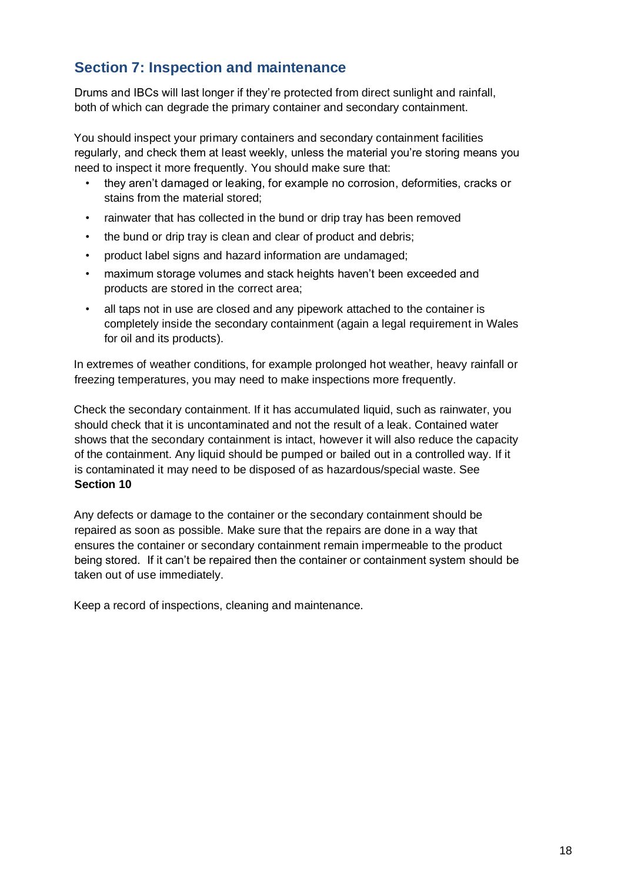## **Section 7: Inspection and maintenance**

Drums and IBCs will last longer if they're protected from direct sunlight and rainfall, both of which can degrade the primary container and secondary containment.

You should inspect your primary containers and secondary containment facilities regularly, and check them at least weekly, unless the material you're storing means you need to inspect it more frequently. You should make sure that:

- they aren't damaged or leaking, for example no corrosion, deformities, cracks or stains from the material stored;
- rainwater that has collected in the bund or drip tray has been removed
- the bund or drip tray is clean and clear of product and debris;
- product label signs and hazard information are undamaged;
- maximum storage volumes and stack heights haven't been exceeded and products are stored in the correct area;
- all taps not in use are closed and any pipework attached to the container is completely inside the secondary containment (again a legal requirement in Wales for oil and its products).

In extremes of weather conditions, for example prolonged hot weather, heavy rainfall or freezing temperatures, you may need to make inspections more frequently.

Check the secondary containment. If it has accumulated liquid, such as rainwater, you should check that it is uncontaminated and not the result of a leak. Contained water shows that the secondary containment is intact, however it will also reduce the capacity of the containment. Any liquid should be pumped or bailed out in a controlled way. If it is contaminated it may need to be disposed of as hazardous/special waste. See **Section 10** 

Any defects or damage to the container or the secondary containment should be repaired as soon as possible. Make sure that the repairs are done in a way that ensures the container or secondary containment remain impermeable to the product being stored. If it can't be repaired then the container or containment system should be taken out of use immediately.

Keep a record of inspections, cleaning and maintenance.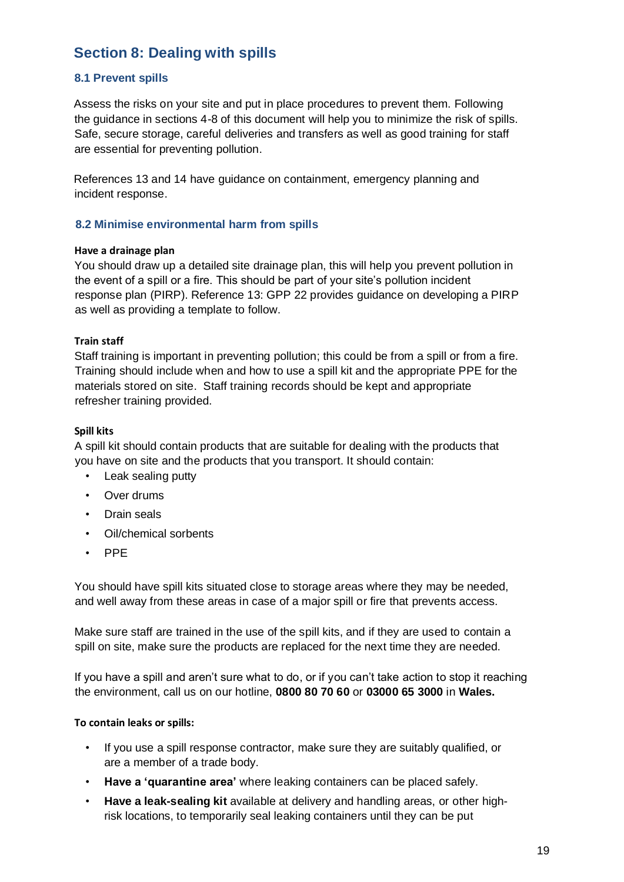### **Section 8: Dealing with spills**

#### **8.1 Prevent spills**

Assess the risks on your site and put in place procedures to prevent them. Following the guidance in sections 4-8 of this document will help you to minimize the risk of spills. Safe, secure storage, careful deliveries and transfers as well as good training for staff are essential for preventing pollution.

References 13 and 14 have guidance on containment, emergency planning and incident response.

#### **8.2 Minimise environmental harm from spills**

#### **Have a drainage plan**

You should draw up a detailed site drainage plan, this will help you prevent pollution in the event of a spill or a fire. This should be part of your site's pollution incident response plan (PIRP). Reference 13: GPP 22 provides guidance on developing a PIRP as well as providing a template to follow.

#### **Train staff**

Staff training is important in preventing pollution; this could be from a spill or from a fire. Training should include when and how to use a spill kit and the appropriate PPE for the materials stored on site. Staff training records should be kept and appropriate refresher training provided.

#### **Spill kits**

A spill kit should contain products that are suitable for dealing with the products that you have on site and the products that you transport. It should contain:

- Leak sealing putty
- Over drums
- Drain seals
- Oil/chemical sorbents
- PPE

You should have spill kits situated close to storage areas where they may be needed, and well away from these areas in case of a major spill or fire that prevents access.

Make sure staff are trained in the use of the spill kits, and if they are used to contain a spill on site, make sure the products are replaced for the next time they are needed.

If you have a spill and aren't sure what to do, or if you can't take action to stop it reaching the environment, call us on our hotline, **0800 80 70 60** or **03000 65 3000** in **Wales.**

#### **To contain leaks or spills:**

- If you use a spill response contractor, make sure they are suitably qualified, or are a member of a trade body.
- **Have a 'quarantine area'** where leaking containers can be placed safely.
- **Have a leak-sealing kit** available at delivery and handling areas, or other highrisk locations, to temporarily seal leaking containers until they can be put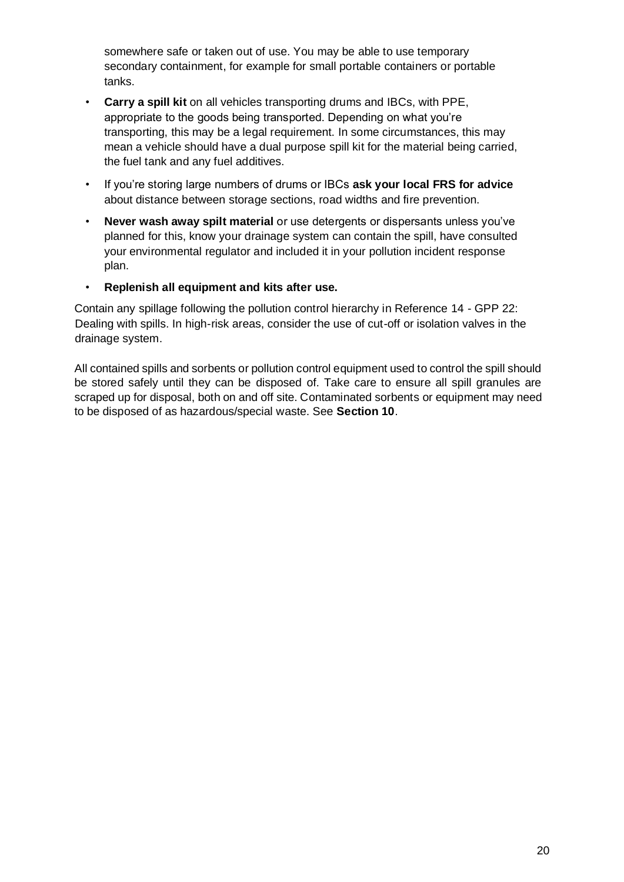somewhere safe or taken out of use. You may be able to use temporary secondary containment, for example for small portable containers or portable tanks.

- **Carry a spill kit** on all vehicles transporting drums and IBCs, with PPE, appropriate to the goods being transported. Depending on what you're transporting, this may be a legal requirement. In some circumstances, this may mean a vehicle should have a dual purpose spill kit for the material being carried, the fuel tank and any fuel additives.
- If you're storing large numbers of drums or IBCs **ask your local FRS for advice** about distance between storage sections, road widths and fire prevention.
- **Never wash away spilt material** or use detergents or dispersants unless you've planned for this, know your drainage system can contain the spill, have consulted your environmental regulator and included it in your pollution incident response plan.
- **Replenish all equipment and kits after use.**

Contain any spillage following the pollution control hierarchy in Reference 14 - GPP 22: Dealing with spills. In high-risk areas, consider the use of cut-off or isolation valves in the drainage system.

All contained spills and sorbents or pollution control equipment used to control the spill should be stored safely until they can be disposed of. Take care to ensure all spill granules are scraped up for disposal, both on and off site. Contaminated sorbents or equipment may need to be disposed of as hazardous/special waste. See **Section 10**.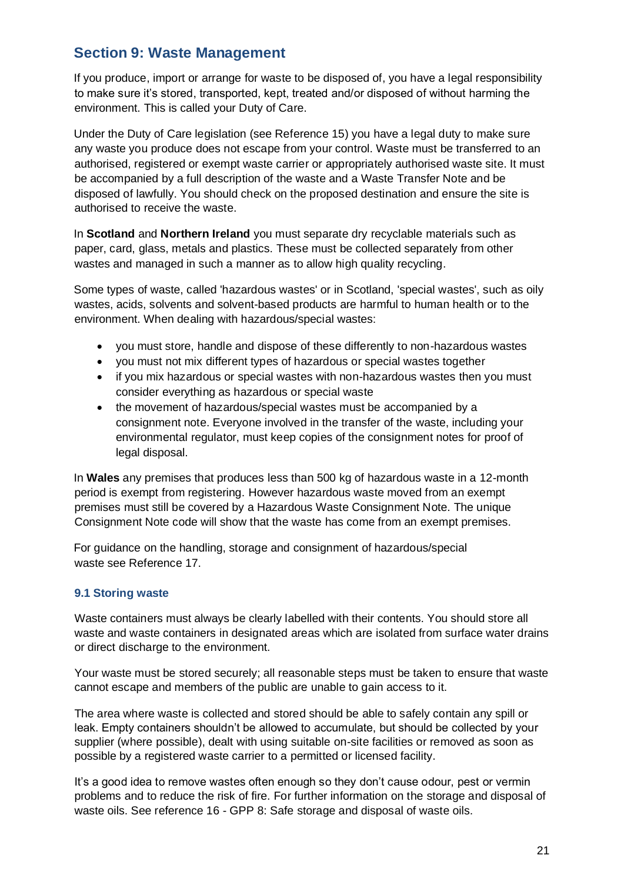### **Section 9: Waste Management**

If you produce, import or arrange for waste to be disposed of, you have a legal responsibility to make sure it's stored, transported, kept, treated and/or disposed of without harming the environment. This is called your Duty of Care.

Under the Duty of Care legislation (see Reference 15) you have a legal duty to make sure any waste you produce does not escape from your control. Waste must be transferred to an authorised, registered or exempt waste carrier or appropriately authorised waste site. It must be accompanied by a full description of the waste and a Waste Transfer Note and be disposed of lawfully. You should check on the proposed destination and ensure the site is authorised to receive the waste.

In **Scotland** and **Northern Ireland** you must separate dry recyclable materials such as paper, card, glass, metals and plastics. These must be collected separately from other wastes and managed in such a manner as to allow high quality recycling.

Some types of waste, called 'hazardous wastes' or in Scotland, 'special wastes', such as oily wastes, acids, solvents and solvent-based products are harmful to human health or to the environment. When dealing with hazardous/special wastes:

- you must store, handle and dispose of these differently to non-hazardous wastes
- you must not mix different types of hazardous or special wastes together
- if you mix hazardous or special wastes with non-hazardous wastes then you must consider everything as hazardous or special waste
- the movement of hazardous/special wastes must be accompanied by a consignment note. Everyone involved in the transfer of the waste, including your environmental regulator, must keep copies of the consignment notes for proof of legal disposal.

In **Wales** any premises that produces less than 500 kg of hazardous waste in a 12-month period is exempt from registering. However hazardous waste moved from an exempt premises must still be covered by a Hazardous Waste Consignment Note. The unique Consignment Note code will show that the waste has come from an exempt premises.

For guidance on the handling, storage and consignment of hazardous/special waste see Reference 17.

#### **9.1 Storing waste**

Waste containers must always be clearly labelled with their contents. You should store all waste and waste containers in designated areas which are isolated from surface water drains or direct discharge to the environment.

Your waste must be stored securely; all reasonable steps must be taken to ensure that waste cannot escape and members of the public are unable to gain access to it.

The area where waste is collected and stored should be able to safely contain any spill or leak. Empty containers shouldn't be allowed to accumulate, but should be collected by your supplier (where possible), dealt with using suitable on-site facilities or removed as soon as possible by a registered waste carrier to a permitted or licensed facility.

It's a good idea to remove wastes often enough so they don't cause odour, pest or vermin problems and to reduce the risk of fire. For further information on the storage and disposal of waste oils. See reference 16 - GPP 8: Safe storage and disposal of waste oils.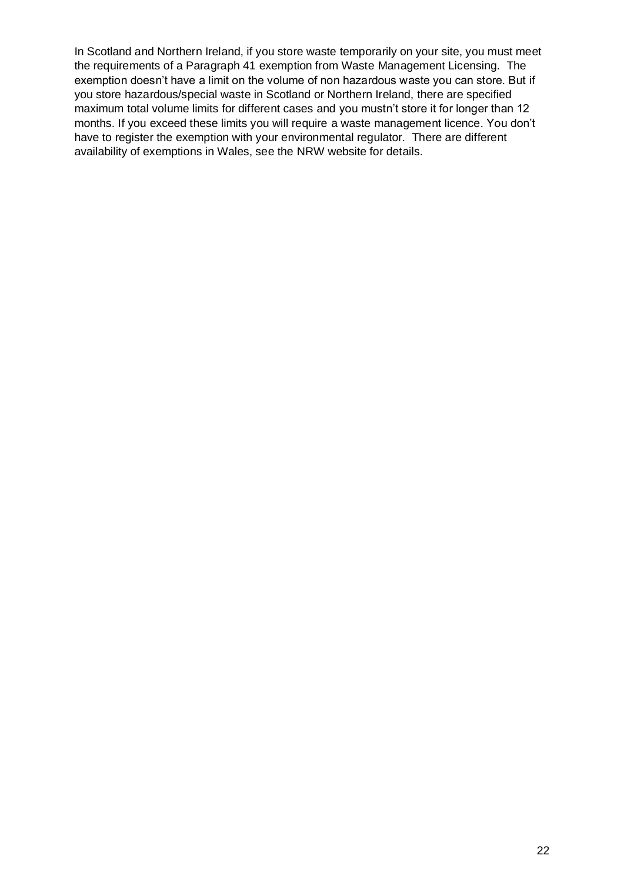In Scotland and Northern Ireland, if you store waste temporarily on your site, you must meet the requirements of a Paragraph 41 exemption from Waste Management Licensing. The exemption doesn't have a limit on the volume of non hazardous waste you can store. But if you store hazardous/special waste in Scotland or Northern Ireland, there are specified maximum total volume limits for different cases and you mustn't store it for longer than 12 months. If you exceed these limits you will require a waste management licence. You don't have to register the exemption with your environmental regulator. There are different availability of exemptions in Wales, see the NRW website for details.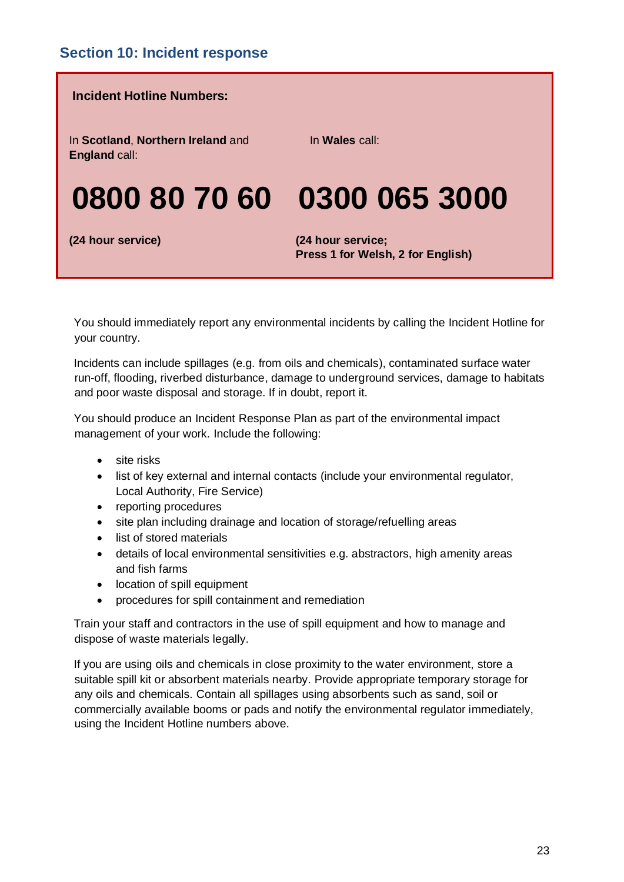

You should immediately report any environmental incidents by calling the Incident Hotline for your country.

Incidents can include spillages (e.g. from oils and chemicals), contaminated surface water run-off, flooding, riverbed disturbance, damage to underground services, damage to habitats and poor waste disposal and storage. If in doubt, report it.

You should produce an Incident Response Plan as part of the environmental impact management of your work. Include the following:

- site risks
- list of key external and internal contacts (include your environmental regulator, Local Authority, Fire Service)
- reporting procedures
- site plan including drainage and location of storage/refuelling areas
- list of stored materials
- details of local environmental sensitivities e.g. abstractors, high amenity areas and fish farms
- location of spill equipment
- procedures for spill containment and remediation

Train your staff and contractors in the use of spill equipment and how to manage and dispose of waste materials legally.

If you are using oils and chemicals in close proximity to the water environment, store a suitable spill kit or absorbent materials nearby. Provide appropriate temporary storage for any oils and chemicals. Contain all spillages using absorbents such as sand, soil or commercially available booms or pads and notify the environmental regulator immediately, using the Incident Hotline numbers above.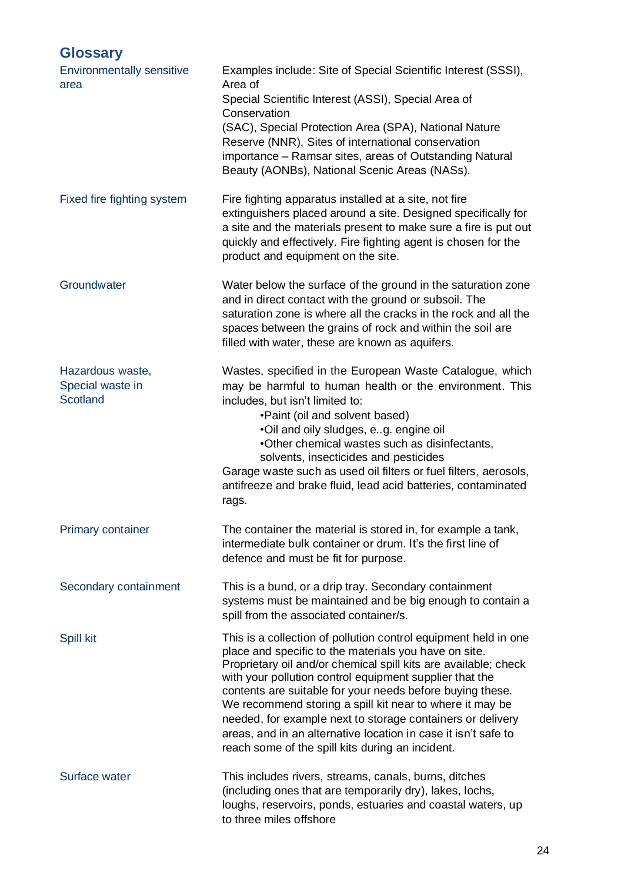## **Glossary**

| <b>Environmentally sensitive</b><br>area         | Examples include: Site of Special Scientific Interest (SSSI),<br>Area of<br>Special Scientific Interest (ASSI), Special Area of<br>Conservation<br>(SAC), Special Protection Area (SPA), National Nature<br>Reserve (NNR), Sites of international conservation<br>importance – Ramsar sites, areas of Outstanding Natural<br>Beauty (AONBs), National Scenic Areas (NASs).                                                                                                                                                                                          |
|--------------------------------------------------|---------------------------------------------------------------------------------------------------------------------------------------------------------------------------------------------------------------------------------------------------------------------------------------------------------------------------------------------------------------------------------------------------------------------------------------------------------------------------------------------------------------------------------------------------------------------|
| Fixed fire fighting system                       | Fire fighting apparatus installed at a site, not fire<br>extinguishers placed around a site. Designed specifically for<br>a site and the materials present to make sure a fire is put out<br>quickly and effectively. Fire fighting agent is chosen for the<br>product and equipment on the site.                                                                                                                                                                                                                                                                   |
| Groundwater                                      | Water below the surface of the ground in the saturation zone<br>and in direct contact with the ground or subsoil. The<br>saturation zone is where all the cracks in the rock and all the<br>spaces between the grains of rock and within the soil are<br>filled with water, these are known as aquifers.                                                                                                                                                                                                                                                            |
| Hazardous waste,<br>Special waste in<br>Scotland | Wastes, specified in the European Waste Catalogue, which<br>may be harmful to human health or the environment. This<br>includes, but isn't limited to:<br>•Paint (oil and solvent based)<br>.Oil and oily sludges, e.g. engine oil<br>. Other chemical wastes such as disinfectants,<br>solvents, insecticides and pesticides<br>Garage waste such as used oil filters or fuel filters, aerosols,<br>antifreeze and brake fluid, lead acid batteries, contaminated<br>rags.                                                                                         |
| <b>Primary container</b>                         | The container the material is stored in, for example a tank,<br>intermediate bulk container or drum. It's the first line of<br>defence and must be fit for purpose.                                                                                                                                                                                                                                                                                                                                                                                                 |
| Secondary containment                            | This is a bund, or a drip tray. Secondary containment<br>systems must be maintained and be big enough to contain a<br>spill from the associated container/s.                                                                                                                                                                                                                                                                                                                                                                                                        |
| Spill kit                                        | This is a collection of pollution control equipment held in one<br>place and specific to the materials you have on site.<br>Proprietary oil and/or chemical spill kits are available; check<br>with your pollution control equipment supplier that the<br>contents are suitable for your needs before buying these.<br>We recommend storing a spill kit near to where it may be<br>needed, for example next to storage containers or delivery<br>areas, and in an alternative location in case it isn't safe to<br>reach some of the spill kits during an incident. |
| Surface water                                    | This includes rivers, streams, canals, burns, ditches<br>(including ones that are temporarily dry), lakes, lochs,<br>loughs, reservoirs, ponds, estuaries and coastal waters, up<br>to three miles offshore                                                                                                                                                                                                                                                                                                                                                         |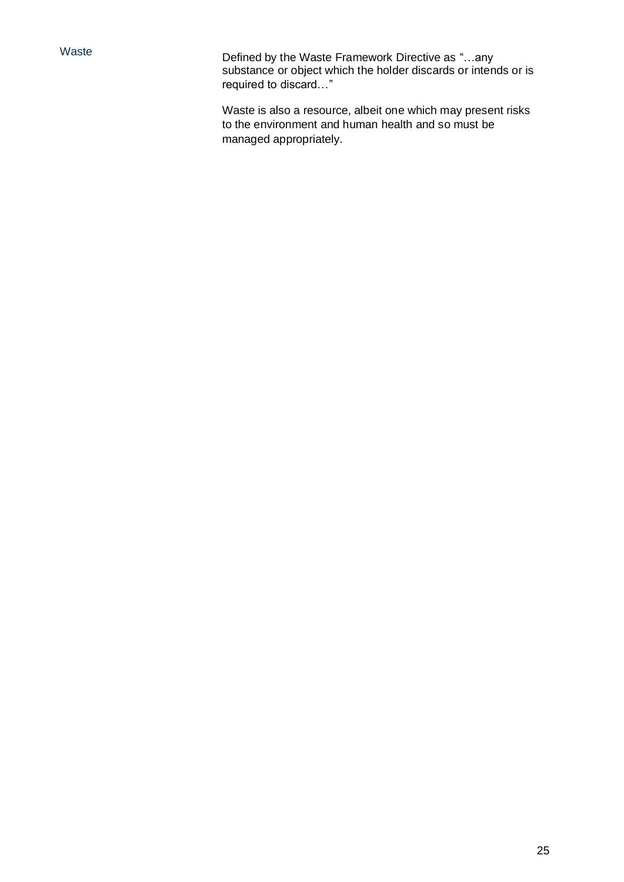Waste **Defined by the Waste Framework Directive as "...any** substance or object which the holder discards or intends or is required to discard…"

> Waste is also a resource, albeit one which may present risks to the environment and human health and so must be managed appropriately.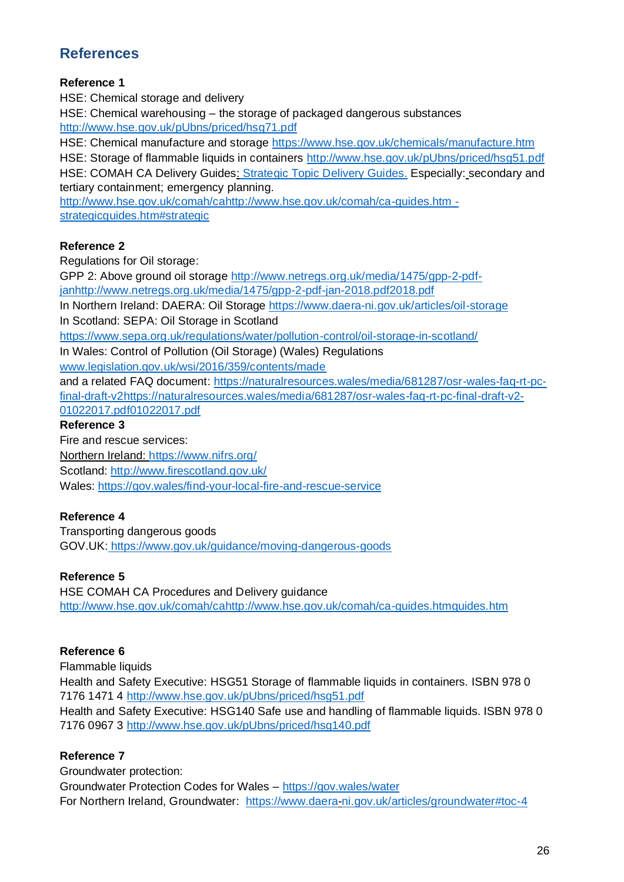### **References**

#### **Reference 1**

HSE: Chemical storage and delivery HSE: Chemical warehousing – the storage of packaged dangerous substances <http://www.hse.gov.uk/pUbns/priced/hsg71.pdf>

HSE: Chemical manufacture and storage<https://www.hse.gov.uk/chemicals/manufacture.htm> HSE: Storage of flammable liquids in containers<http://www.hse.gov.uk/pUbns/priced/hsg51.pdf> HSE: COMAH CA Delivery Guides: [Strategic Topic Delivery Guides.](http://www.hse.gov.uk/comah/ca-guides.htm#strategic) Especially: secondary and tertiary containment; emergency planning[.](http://www.hse.gov.uk/comah/ca-guides.htm#strategic)

[http://www.hse.gov.uk/comah/cahttp://www.hse.gov.uk/comah/ca-guides.htm](http://www.hse.gov.uk/comah/ca-guides.htm#strategic)  [strategicguides.htm#strategic](http://www.hse.gov.uk/comah/ca-guides.htm#strategic)

#### **Reference 2**

Regulations for Oil storage:

GPP 2: Above ground oil storage [http://www.netregs.org.uk/media/1475/gpp-2-pdf](http://www.netregs.org.uk/media/1475/gpp-2-pdf-jan-2018.pdf)[janhttp://www.netregs.org.uk/media/1475/gpp-2-pdf-jan-2018.pdf2018.pdf](http://www.netregs.org.uk/media/1475/gpp-2-pdf-jan-2018.pdf)

In Northern Ireland: DAERA: Oil Storage<https://www.daera-ni.gov.uk/articles/oil-storage>

In Scotland: SEPA: Oil Storage in Scotland

<https://www.sepa.org.uk/regulations/water/pollution-control/oil-storage-in-scotland/>

In Wales: Control of Pollution (Oil Storage) (Wales) Regulations

[www.legislation.gov.uk/wsi/2016/359/contents/made](http://www.legislation.gov.uk/wsi/2016/359/contents/made)

and a related FAQ document:<https://naturalresources.wales/media/681287/osr>[-wales-faq-rt-pc](https://naturalresources.wales/media/681287/osr-wales-faq-rt-pc-final-draft-v2-01022017.pdf)[final-draft-v2https://naturalresources.wales/media/681287/osr-wales-faq-rt-pc-final-draft-v2-](https://naturalresources.wales/media/681287/osr-wales-faq-rt-pc-final-draft-v2-01022017.pdf) [01022017.pdf01022017.pdf](https://naturalresources.wales/media/681287/osr-wales-faq-rt-pc-final-draft-v2-01022017.pdf)

#### **Reference 3**

Fire and rescue services: Northern Ireland:<https://www.nifrs.org/> Scotland:<http://www.firescotland.gov.uk/> Wales:<https://gov.wales/find-your-local-fire-and-rescue-service>

#### **Reference 4**

Transporting dangerous goods GOV.UK[:](https://www.gov.uk/guidance/moving-dangerous-goods) <https://www.gov.uk/guidance/moving-dangerous-goods>

#### **Reference 5**

HSE COMAH CA Procedures and Delivery guidanc[e](http://www.hse.gov.uk/comah/ca-guides.htm) [http://www.hse.gov.uk/comah/cahttp://www.hse.gov.uk/comah/ca-guides.htmguides.htm](http://www.hse.gov.uk/comah/ca-guides.htm) 

#### **Reference 6**

Flammable liquids Health and Safety Executive: HSG51 Storage of flammable liquids in containers. ISBN 978 0 7176 1471 4<http://www.hse.gov.uk/pUbns/priced/hsg51.pdf> Health and Safety Executive: HSG140 Safe use and handling of flammable liquids. ISBN 978 0 7176 0967 3<http://www.hse.gov.uk/pUbns/priced/hsg140.pdf>

#### **Reference 7**

Groundwater protection: Groundwater Protection Codes for Wales – <https://gov.wales/water> For Northern Ireland, Groundwater: <https://www.daera-ni.gov.uk/articles/groundwater#toc-4>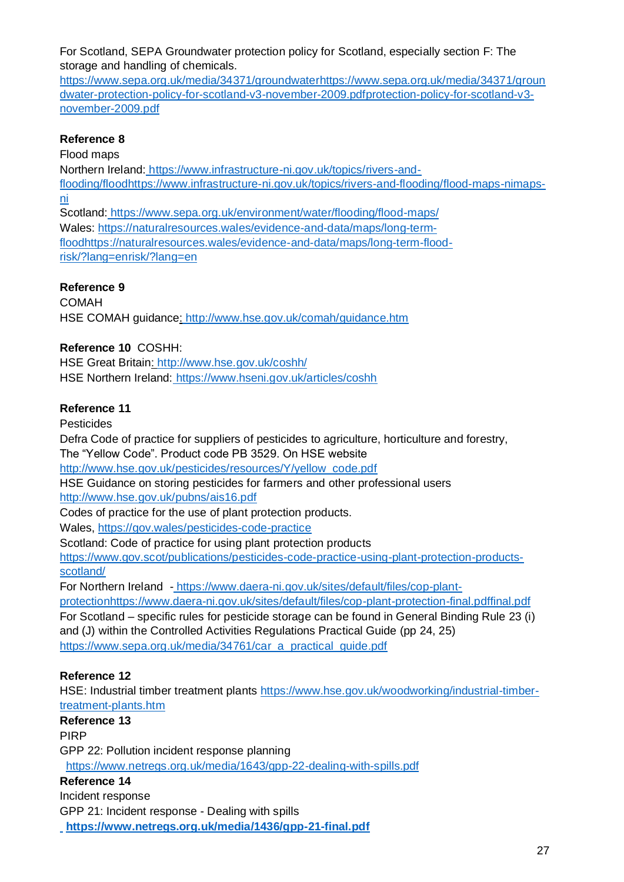For Scotland, SEPA Groundwater protection policy for Scotland, especially section F: The storage and handling of chemicals[.](https://www.sepa.org.uk/media/34371/groundwater-protection-policy-for-scotland-v3-november-2009.pdf)

[https://www.sepa.org.uk/media/34371/groundwaterhttps://www.sepa.org.uk/media/34371/groun](https://www.sepa.org.uk/media/34371/groundwater-protection-policy-for-scotland-v3-november-2009.pdf) [dwater-protection-policy-for-scotland-v3-november-2009.pdfprotection-policy-for-scotland-v3](https://www.sepa.org.uk/media/34371/groundwater-protection-policy-for-scotland-v3-november-2009.pdf) [november-2009.pdf](https://www.sepa.org.uk/media/34371/groundwater-protection-policy-for-scotland-v3-november-2009.pdf)

#### **Reference 8**

Flood maps

Northern Ireland: [https://www.infrastructure-ni.gov.uk/topics/rivers-and](https://www.infrastructure-ni.gov.uk/topics/rivers-and-flooding/flood-maps-ni)[flooding/floodhttps://www.infrastructure-ni.gov.uk/topics/rivers-and-flooding/flood-maps-nimaps](https://www.infrastructure-ni.gov.uk/topics/rivers-and-flooding/flood-maps-ni)[ni](https://www.infrastructure-ni.gov.uk/topics/rivers-and-flooding/flood-maps-ni)

Scotland: <https://www.sepa.org.uk/environment/water/flooding/flood-maps/> Wales: [https://naturalresources.wales/evidence-and-data/maps/long-term](https://naturalresources.wales/evidence-and-data/maps/long-term-flood-risk/?lang=en)[floodhttps://naturalresources.wales/evidence-and-data/maps/long-term-flood-](https://naturalresources.wales/evidence-and-data/maps/long-term-flood-risk/?lang=en)

[risk/?lang=enrisk/?lang=en](https://naturalresources.wales/evidence-and-data/maps/long-term-flood-risk/?lang=en)

#### **Reference 9**

COMAH HSE COMAH guidance: <http://www.hse.gov.uk/comah/guidance.htm>

#### **Reference 10** COSHH:

HSE Great Britain:<http://www.hse.gov.uk/coshh/> HSE Northern Ireland: <https://www.hseni.gov.uk/articles/coshh>

#### **Reference 11**

Pesticides

Defra Code of practice for suppliers of pesticides to agriculture, horticulture and forestry, The "Yellow Code". Product code PB 3529. On HSE website

[http://www.hse.gov.uk/pesticides/resources/Y/yellow\\_code.pdf](http://www.hse.gov.uk/pesticides/resources/Y/yellow_code.pdf)

HSE Guidance on storing pesticides for farmers and other professional users <http://www.hse.gov.uk/pubns/ais16.pdf>

Codes of practice for the use of plant protection products.

Wales,<https://gov.wales/pesticides-code-practice>

Scotland: Code of practice for using plant protection products

[https://www.gov.scot/publications/pesticides-code-practice-using-plant-protection-products](https://www.gov.scot/publications/pesticides-code-practice-using-plant-protection-products-scotland/)[scotland/](https://www.gov.scot/publications/pesticides-code-practice-using-plant-protection-products-scotland/)

For Northern Ireland - [https://www.daera-ni.gov.uk/sites/default/files/cop-plant-](https://www.daera-ni.gov.uk/sites/default/files/cop-plant-protection-final.pdf)

[protectionhttps://www.daera-ni.gov.uk/sites/default/files/cop-plant-protection-final.pdffinal.pdf](https://www.daera-ni.gov.uk/sites/default/files/cop-plant-protection-final.pdf)  For Scotland – specific rules for pesticide storage can be found in General Binding Rule 23 (i) and (J) within the Controlled Activities Regulations Practical Guide (pp 24, 25) https://www.sepa.org.uk/media/34761/car\_a\_practical\_quide.pdf

#### **Reference 12**

HSE: Industrial timber treatment plants [https://www.hse.gov.uk/woodworking/industrial-timber](https://www.hse.gov.uk/woodworking/industrial-timber-treatment-plants.htm)[treatment-plants.htm](https://www.hse.gov.uk/woodworking/industrial-timber-treatment-plants.htm)

**Reference 13**  PIRP GPP 22: Pollution incident response planning <https://www.netregs.org.uk/media/1643/gpp-22-dealing-with-spills.pdf>

#### **Reference 14**

Incident response GPP 21: Incident response - Dealing with spill[s](https://www.sepa.org.uk/media/60177/ppg-22-incident-response-dealing-with-spills.pdf) **<https://www.netregs.org.uk/media/1436/gpp-21-final.pdf>**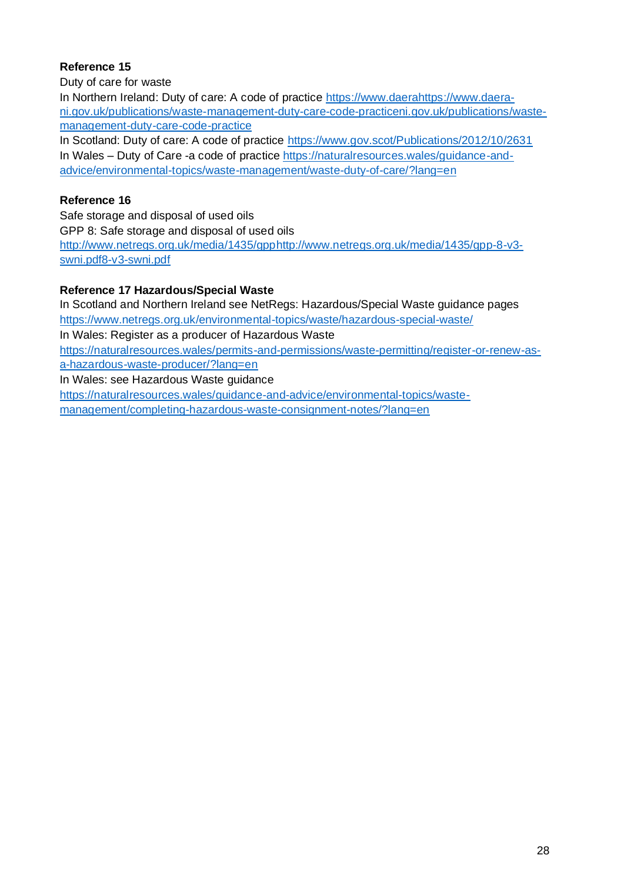#### **Reference 15**

Duty of care for waste

In Northern Ireland: Duty of care: A code of practice [https://www.daerahttps://www.daera](https://www.daera-ni.gov.uk/publications/waste-management-duty-care-code-practice)[ni.gov.uk/publications/waste-management-duty-care-code-practiceni.gov.uk/publications/waste](https://www.daera-ni.gov.uk/publications/waste-management-duty-care-code-practice)[management-duty-care-code-practice](https://www.daera-ni.gov.uk/publications/waste-management-duty-care-code-practice)

In Scotland: Duty of care: A code of practice<https://www.gov.scot/Publications/2012/10/2631> In Wales – Duty of Care -a code of practice [https://naturalresources.wales/guidance-and](https://naturalresources.wales/guidance-and-advice/environmental-topics/waste-management/waste-duty-of-care/?lang=en)[advice/environmental-topics/waste-management/waste-duty-of-care/?lang=en](https://naturalresources.wales/guidance-and-advice/environmental-topics/waste-management/waste-duty-of-care/?lang=en)

#### **Reference 16**

Safe storage and disposal of used oils GPP 8: Safe storage and disposal of used oils [http://www.netregs.org.uk/media/1435/gpphttp://www.netregs.org.uk/media/1435/gpp-8-v3](http://www.netregs.org.uk/media/1435/gpp-8-v3-swni.pdf) [swni.pdf8-v3-swni.pdf](http://www.netregs.org.uk/media/1435/gpp-8-v3-swni.pdf)

#### **Reference 17 Hazardous/Special Waste**

In Scotland and Northern Ireland see NetRegs: Hazardous/Special Waste guidance pages <https://www.netregs.org.uk/environmental-topics/waste/hazardous-special-waste/> In Wales: Register as a producer of Hazardous Waste [https://naturalresources.wales/permits-and-permissions/waste-permitting/register-or-renew-as](https://naturalresources.wales/permits-and-permissions/waste-permitting/register-or-renew-as-a-hazardous-waste-producer/?lang=en)[a-hazardous-waste-producer/?lang=en](https://naturalresources.wales/permits-and-permissions/waste-permitting/register-or-renew-as-a-hazardous-waste-producer/?lang=en) In Wales: see Hazardous Waste guidance [https://naturalresources.wales/guidance-and-advice/environmental-topics/waste-](https://naturalresources.wales/guidance-and-advice/environmental-topics/waste-management/completing-hazardous-waste-consignment-notes/?lang=en)

[management/completing-hazardous-waste-consignment-notes/?lang=en](https://naturalresources.wales/guidance-and-advice/environmental-topics/waste-management/completing-hazardous-waste-consignment-notes/?lang=en)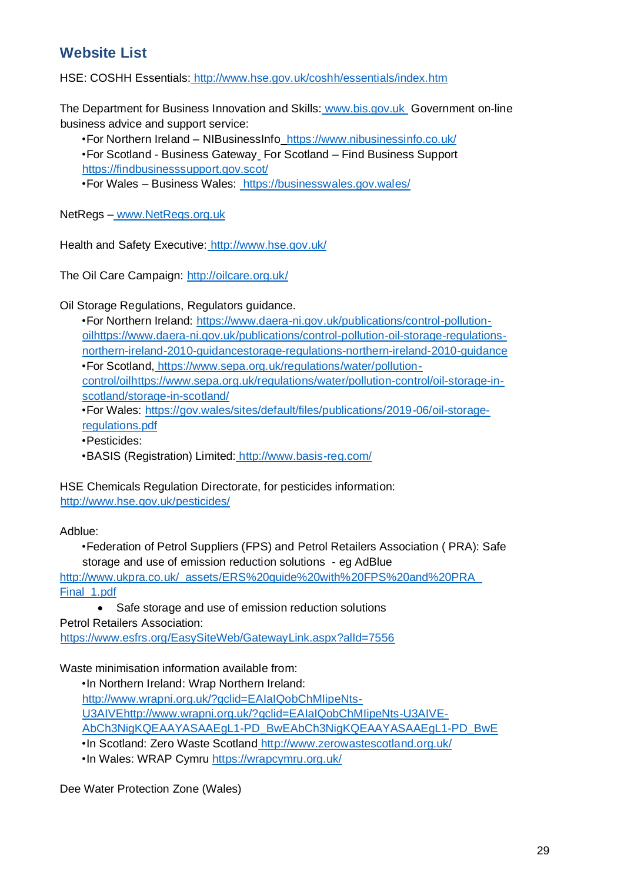### **Website List**

HSE: COSHH Essentials[:](http://www.hse.gov.uk/coshh/essentials/index.htm) <http://www.hse.gov.uk/coshh/essentials/index.htm>

The Department for Business Innovation and Skills[:](http://www.bis.gov.uk/) [www.bis.gov.uk](http://www.bis.gov.uk/) Government on-line business advice and support service:

•For Northern Ireland – NIBusinessInfo <https://www.nibusinessinfo.co.uk/>

•For Scotland - Business Gatewa[y](http://www.bgateway.com/) For Scotland – Find Business Support <https://findbusinesssupport.gov.scot/>

•For Wales – Business Wales:<https://businesswales.gov.wales/>

NetRegs – [www.NetRegs.org.uk](http://www.netregs.org.uk/)

Health and Safety Executive: <http://www.hse.gov.uk/>

The Oil Care Campaign:<http://oilcare.org.uk/>

Oil Storage Regulations, Regulators guidance.

| •For Northern Ireland: https://www.daera-ni.gov.uk/publications/control-pollution-     |
|----------------------------------------------------------------------------------------|
| oilhttps://www.daera-ni.gov.uk/publications/control-pollution-oil-storage-regulations- |
| northern-ireland-2010-quidancestorage-regulations-northern-ireland-2010-quidance       |
| • For Scotland, https://www.sepa.org.uk/regulations/water/pollution-                   |
| control/oilhttps://www.sepa.org.uk/regulations/water/pollution-control/oil-storage-in- |
| scotland/storage-in-scotland/                                                          |
| • For Wales: https://gov.wales/sites/default/files/publications/2019-06/oil-storage-   |
| regulations.pdf                                                                        |
| AD                                                                                     |

•Pesticides:

•BASIS (Registration) Limited: <http://www.basis-reg.com/>

HSE Chemicals Regulation Directorate, for pesticides information: <http://www.hse.gov.uk/pesticides/>

Adblue:

•Federation of Petrol Suppliers (FPS) and Petrol Retailers Association ( PRA): Safe storage and use of emission reduction solutions - eg AdBlue http://www.ukpra.co.uk/\_assets/ERS%20guide%20with%20FPS%20and%20PRA [Final\\_1.pdf](http://www.ukpra.co.uk/_assets/ERS%20guide%20with%20FPS%20and%20PRA_Final_1.pdf)

• Safe storage and use of emission reduction solutions Petrol Retailers Association: <https://www.esfrs.org/EasySiteWeb/GatewayLink.aspx?alId=7556>

Waste minimisation information available from:

•In Northern Ireland: Wrap Northern Ireland: [http://www.wrapni.org.uk/?gclid=EAIaIQobChMIipeNts-](http://www.wrapni.org.uk/?gclid=EAIaIQobChMIipeNts-U3AIVE-AbCh3NigKQEAAYASAAEgL1-PD_BwE)[U3AIVEhttp://www.wrapni.org.uk/?gclid=EAIaIQobChMIipeNts-U3AIVE-](http://www.wrapni.org.uk/?gclid=EAIaIQobChMIipeNts-U3AIVE-AbCh3NigKQEAAYASAAEgL1-PD_BwE)[AbCh3NigKQEAAYASAAEgL1-PD\\_BwEAbCh3NigKQEAAYASAAEgL1-PD\\_BwE](http://www.wrapni.org.uk/?gclid=EAIaIQobChMIipeNts-U3AIVE-AbCh3NigKQEAAYASAAEgL1-PD_BwE) •In Scotland: Zero Waste Scotland <http://www.zerowastescotland.org.uk/>

•In Wales: WRAP Cymru<https://wrapcymru.org.uk/>

Dee Water Protection Zone (Wales)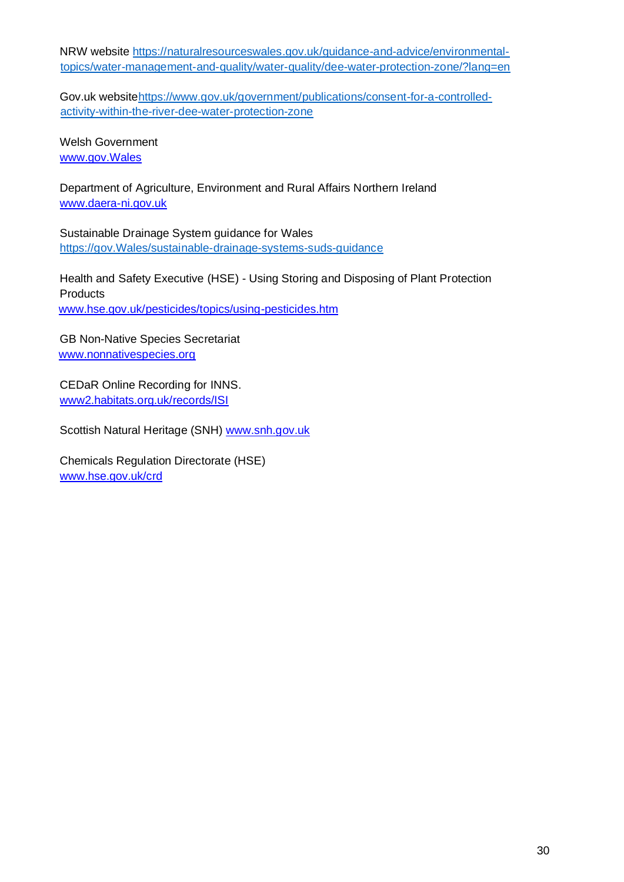NRW website [https://naturalresourceswales.gov.uk/guidance-and-advice/environmental](https://naturalresourceswales.gov.uk/guidance-and-advice/environmental-topics/water-management-and-quality/water-quality/dee-water-protection-zone/?lang=en)[topics/water-management-and-quality/water-quality/dee-water-protection-zone/?lang=en](https://naturalresourceswales.gov.uk/guidance-and-advice/environmental-topics/water-management-and-quality/water-quality/dee-water-protection-zone/?lang=en)

Gov.uk websit[ehttps://www.gov.uk/government/publications/consent-for-a-controlled](https://www.gov.uk/government/publications/consent-for-a-controlled-activity-within-the-river-dee-water-protection-zone)[activity-within-the-river-dee-water-protection-zone](https://www.gov.uk/government/publications/consent-for-a-controlled-activity-within-the-river-dee-water-protection-zone)

Welsh Government [www.gov.Wales](http://www.gov.wales/)

Department of Agriculture, Environment and Rural Affairs Northern Ireland [www.daera-ni.gov.uk](http://www.daera-ni.gov.uk/)

Sustainable Drainage System guidance for Wales [https://gov.Wales/sustainable-drainage-systems-suds-guidance](https://gov.wales/sustainable-drainage-systems-suds-guidance)

Health and Safety Executive (HSE) - Using Storing and Disposing of Plant Protection **Products** [www.hse.gov.uk/pesticides/topics/using-pesticides.htm](http://www.hse.gov.uk/pesticides/topics/using-pesticides.htm)

GB Non-Native Species Secretariat [www.nonnativespecies.org](http://www.nonnativespecies.org/)

CEDaR Online Recording for INNS. [www2.habitats.org.uk/records/ISI](file://///sepa-fp-01/Central/DIR%20Environmental%20Protection%20&%20Improvement/NetRegs/NEW%20NETREGS%20FROM%202012%20ON/GPPs/GPP%205/Final%20draft/www2.habitats.org.uk/records/ISI)

Scottish Natural Heritage (SNH) www.snh.gov.uk

Chemicals Regulation Directorate (HSE) [www.hse.gov.uk/crd](http://www.hse.gov.uk/crd)